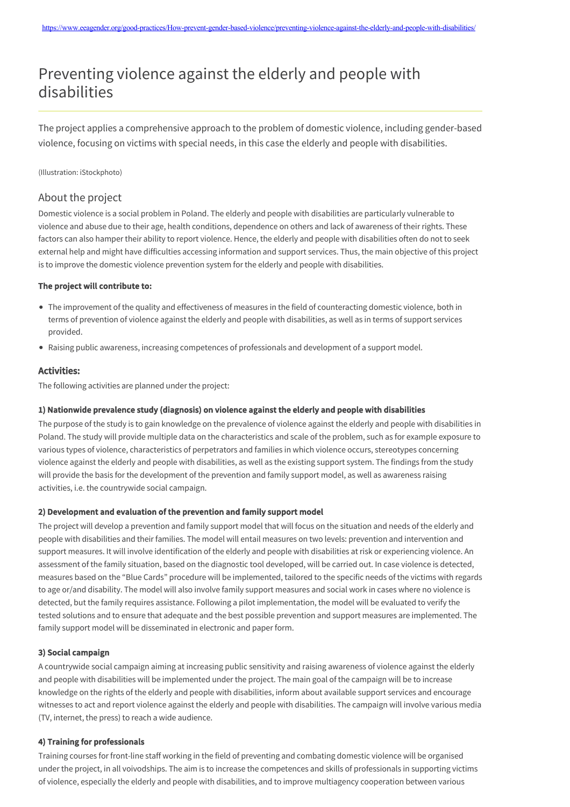# Preventing violence against the elderly and people with disabilities

The project applies a comprehensive approach to the problem of domestic violence, including gender-based violence, focusing on victims with special needs, in this case the elderly and people with disabilities.

(Illustration: iStockphoto)

## About the project

Domestic violence is a social problem in Poland. The elderly and people with disabilities are particularly vulnerable to violence and abuse due to their age, health conditions, dependence on others and lack of awareness of their rights. These factors can also hamper their ability to report violence. Hence, the elderly and people with disabilities often do not to seek external help and might have difficulties accessing information and support services. Thus, the main objective of this project is to improve the domestic violence prevention system for the elderly and people with disabilities.

#### The project will contribute to:

- The improvement of the quality and effectiveness of measures in the field of counteracting domestic violence, both in terms of prevention of violence against the elderly and people with disabilities, as well as in terms of support services provided.
- Raising public awareness, increasing competences of professionals and development of a support model.

## Activities:

The following activities are planned under the project:

## 1) Nationwide prevalence study (diagnosis) on violence against the elderly and people with disabilities

The purpose of the study is to gain knowledge on the prevalence of violence against the elderly and people with disabilities in Poland. The study will provide multiple data on the characteristics and scale of the problem, such as for example exposure to various types of violence, characteristics of perpetrators and families in which violence occurs, stereotypes concerning violence against the elderly and people with disabilities, as well as the existing support system. The findings from the study will provide the basis for the development of the prevention and family support model, as well as awareness raising activities, i.e. the countrywide social campaign.

## 2) Development and evaluation of the prevention and family support model

The project will develop a prevention and family support model that will focus on the situation and needs of the elderly and people with disabilities and their families. The model will entail measures on two levels: prevention and intervention and support measures. It will involve identification of the elderly and people with disabilities at risk or experiencing violence. An assessment of the family situation, based on the diagnostic tool developed, will be carried out. In case violence is detected, measures based on the "Blue Cards" procedure will be implemented, tailored to the specific needs of the victims with regards to age or/and disability. The model will also involve family support measures and social work in cases where no violence is detected, but the family requires assistance. Following a pilot implementation, the model will be evaluated to verify the tested solutions and to ensure that adequate and the best possible prevention and support measures are implemented. The family support model will be disseminated in electronic and paper form.

#### 3) Social campaign

A countrywide social campaign aiming at increasing public sensitivity and raising awareness of violence against the elderly and people with disabilities will be implemented under the project. The main goal of the campaign will be to increase knowledge on the rights of the elderly and people with disabilities, inform about available support services and encourage witnesses to act and report violence against the elderly and people with disabilities. The campaign will involve various media (TV, internet, the press) to reach a wide audience.

#### 4) Training for professionals

Training courses for front-line staff working in the field of preventing and combating domestic violence will be organised under the project, in all voivodships. The aim is to increase the competences and skills of professionals in supporting victims of violence, especially the elderly and people with disabilities, and to improve multiagency cooperation between various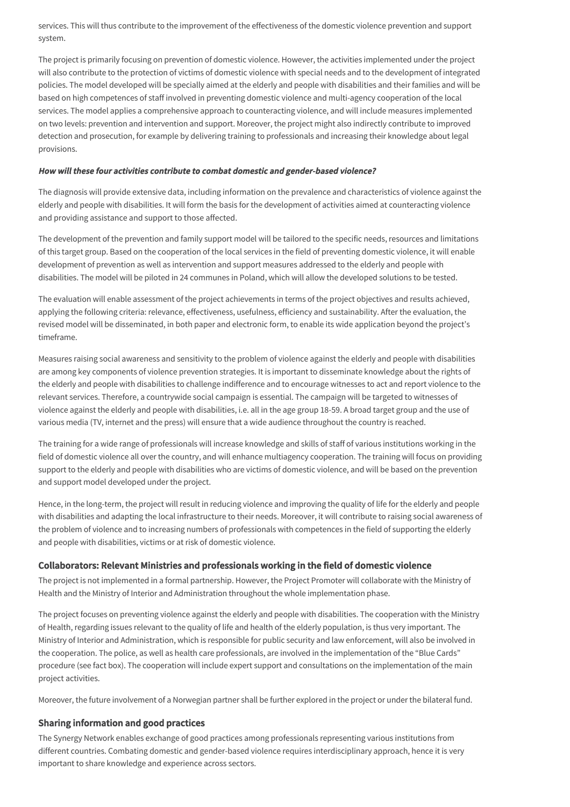services. This will thus contribute to the improvement of the effectiveness of the domestic violence prevention and support system.

The project is primarily focusing on prevention of domestic violence. However, the activities implemented under the project will also contribute to the protection of victims of domestic violence with special needs and to the development of integrated policies. The model developed will be specially aimed at the elderly and people with disabilities and their families and will be based on high competences of staff involved in preventing domestic violence and multi-agency cooperation of the local services. The model applies a comprehensive approach to counteracting violence, and will include measures implemented on two levels: prevention and intervention and support. Moreover, the project might also indirectly contribute to improved detection and prosecution, for example by delivering training to professionals and increasing their knowledge about legal provisions.

## How will these four activities contribute to combat domestic and gender-based violence?

The diagnosis will provide extensive data, including information on the prevalence and characteristics of violence against the elderly and people with disabilities. It will form the basis for the development of activities aimed at counteracting violence and providing assistance and support to those affected.

The development of the prevention and family support model will be tailored to the specific needs, resources and limitations of this target group. Based on the cooperation of the local services in the field of preventing domestic violence, it will enable development of prevention as well as intervention and support measures addressed to the elderly and people with disabilities. The model will be piloted in 24 communes in Poland, which will allow the developed solutions to be tested.

The evaluation will enable assessment of the project achievements in terms of the project objectives and results achieved, applying the following criteria: relevance, effectiveness, usefulness, efficiency and sustainability. After the evaluation, the revised model will be disseminated, in both paper and electronic form, to enable its wide application beyond the project's timeframe.

Measures raising social awareness and sensitivity to the problem of violence against the elderly and people with disabilities are among key components of violence prevention strategies. It is important to disseminate knowledge about the rights of the elderly and people with disabilities to challenge indifference and to encourage witnesses to act and report violence to the relevant services. Therefore, a countrywide social campaign is essential. The campaign will be targeted to witnesses of violence against the elderly and people with disabilities, i.e. all in the age group 18-59. A broad target group and the use of various media (TV, internet and the press) will ensure that a wide audience throughout the country is reached.

The training for a wide range of professionals will increase knowledge and skills of staff of various institutions working in the field of domestic violence all over the country, and will enhance multiagency cooperation. The training will focus on providing support to the elderly and people with disabilities who are victims of domestic violence, and will be based on the prevention and support model developed under the project.

Hence, in the long-term, the project will result in reducing violence and improving the quality of life for the elderly and people with disabilities and adapting the local infrastructure to their needs. Moreover, it will contribute to raising social awareness of the problem of violence and to increasing numbers of professionals with competences in the field of supporting the elderly and people with disabilities, victims or at risk of domestic violence.

## Collaborators: Relevant Ministries and professionals working in the field of domestic violence

The project is not implemented in a formal partnership. However, the Project Promoter will collaborate with the Ministry of Health and the Ministry of Interior and Administration throughout the whole implementation phase.

The project focuses on preventing violence against the elderly and people with disabilities. The cooperation with the Ministry of Health, regarding issues relevant to the quality of life and health of the elderly population, is thus very important. The Ministry of Interior and Administration, which is responsible for public security and law enforcement, will also be involved in the cooperation. The police, as well as health care professionals, are involved in the implementation of the "Blue Cards" procedure (see fact box). The cooperation will include expert support and consultations on the implementation of the main project activities.

Moreover, the future involvement of a Norwegian partner shall be further explored in the project or under the bilateral fund.

## Sharing information and good practices

The Synergy Network enables exchange of good practices among professionals representing various institutions from different countries. Combating domestic and gender-based violence requires interdisciplinary approach, hence it is very important to share knowledge and experience across sectors.